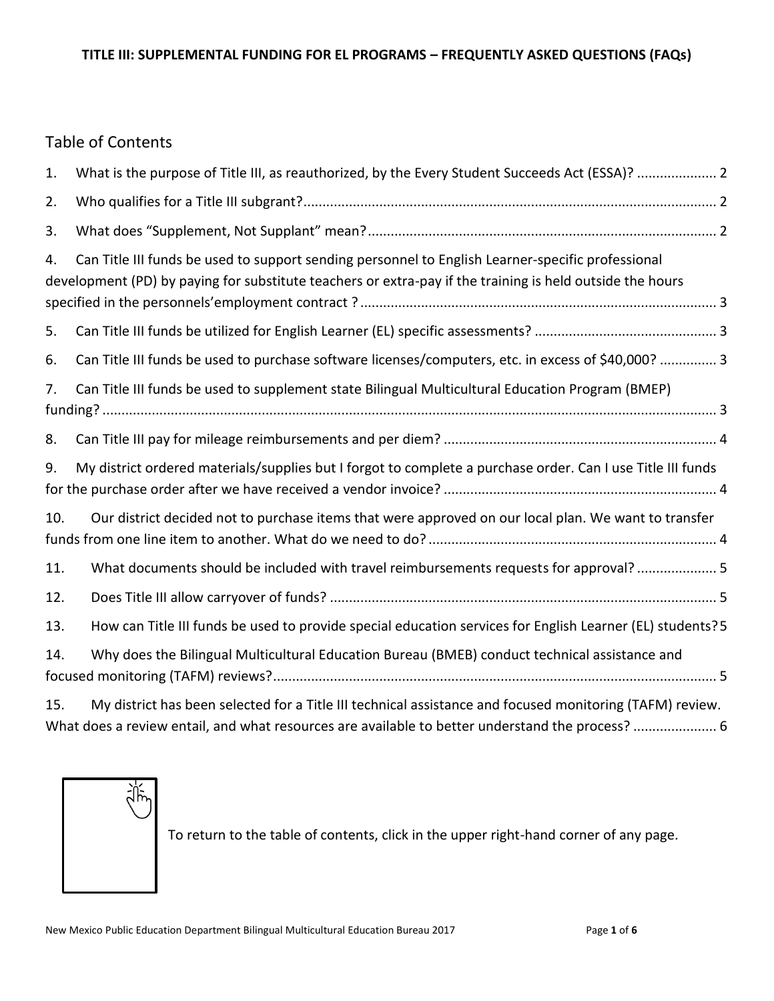### Table of Contents

| 1.  | What is the purpose of Title III, as reauthorized, by the Every Student Succeeds Act (ESSA)?  2                                                                                                                |
|-----|----------------------------------------------------------------------------------------------------------------------------------------------------------------------------------------------------------------|
| 2.  |                                                                                                                                                                                                                |
| 3.  |                                                                                                                                                                                                                |
| 4.  | Can Title III funds be used to support sending personnel to English Learner-specific professional<br>development (PD) by paying for substitute teachers or extra-pay if the training is held outside the hours |
| 5.  |                                                                                                                                                                                                                |
| 6.  | Can Title III funds be used to purchase software licenses/computers, etc. in excess of \$40,000?  3                                                                                                            |
| 7.  | Can Title III funds be used to supplement state Bilingual Multicultural Education Program (BMEP)                                                                                                               |
| 8.  |                                                                                                                                                                                                                |
| 9.  | My district ordered materials/supplies but I forgot to complete a purchase order. Can I use Title III funds                                                                                                    |
| 10. | Our district decided not to purchase items that were approved on our local plan. We want to transfer                                                                                                           |
| 11. | What documents should be included with travel reimbursements requests for approval? 5                                                                                                                          |
| 12. |                                                                                                                                                                                                                |
| 13. | How can Title III funds be used to provide special education services for English Learner (EL) students?5                                                                                                      |
| 14. | Why does the Bilingual Multicultural Education Bureau (BMEB) conduct technical assistance and                                                                                                                  |
| 15. | My district has been selected for a Title III technical assistance and focused monitoring (TAFM) review.                                                                                                       |

[What does a review entail, and what resources are available to better understand the process?](#page-5-0) ...................... 6



To return to the table of contents, click in the upper right-hand corner of any page.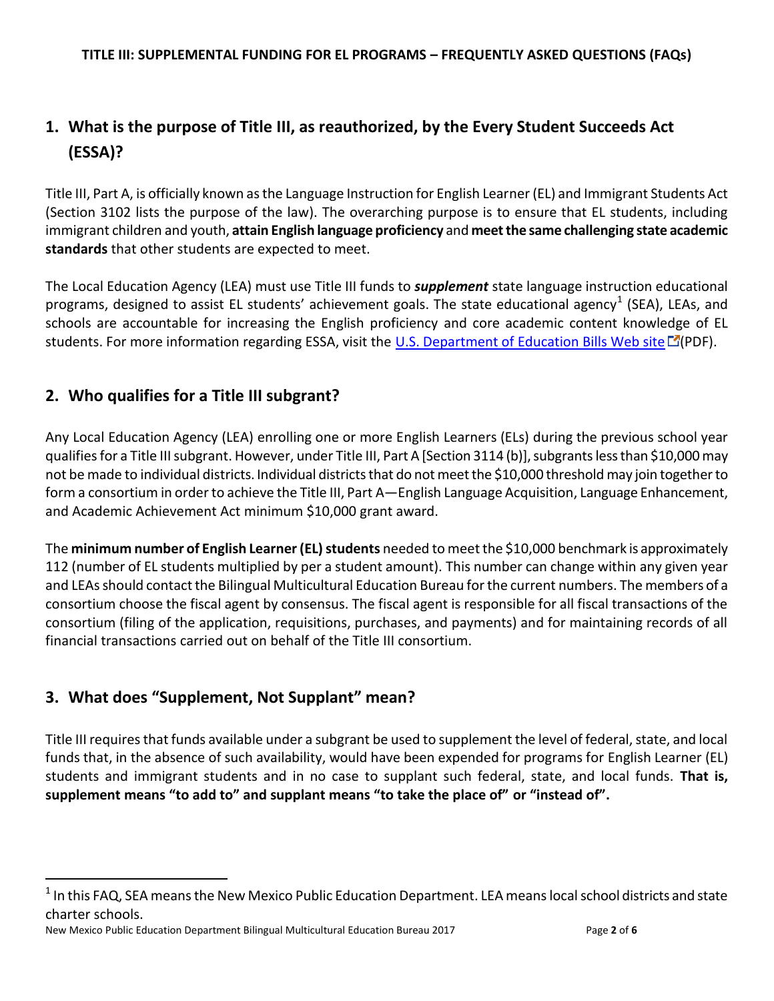## <span id="page-1-0"></span>**1. What is the purpose of Title III, as reauthorized, by the Every Student Succeeds Act (ESSA)?**

Title III, Part A, is officially known as the Language Instruction for English Learner(EL) and Immigrant Students Act (Section 3102 lists the purpose of the law). The overarching purpose is to ensure that EL students, including immigrant children and youth, **attain English language proficiency** and **meet the same challenging state academic standards** that other students are expected to meet.

The Local Education Agency (LEA) must use Title III funds to *supplement* state language instruction educational programs, designed to assist EL students' achievement goals. The state educational agency<sup>1</sup> (SEA), LEAs, and schools are accountable for increasing the English proficiency and core academic content knowledge of EL students. For more information regarding ESSA, visit the [U.S. Department of Education Bills Web site](https://www.gpo.gov/fdsys/pkg/BILLS-114s1177enr/pdf/BILLS-114s1177enr.pdf) (PDF).

### <span id="page-1-1"></span>**2. Who qualifies for a Title III subgrant?**

Any Local Education Agency (LEA) enrolling one or more English Learners (ELs) during the previous school year qualifies for a Title III subgrant. However, under Title III, Part A [Section 3114 (b)], subgrantsless than \$10,000 may not be made to individual districts. Individual districts that do not meet the \$10,000 threshold may join together to form a consortium in order to achieve the Title III, Part A—English Language Acquisition, Language Enhancement, and Academic Achievement Act minimum \$10,000 grant award.

The **minimum number of English Learner (EL) students** needed to meet the \$10,000 benchmark is approximately 112 (number of EL students multiplied by per a student amount). This number can change within any given year and LEAs should contact the Bilingual Multicultural Education Bureau for the current numbers. The members of a consortium choose the fiscal agent by consensus. The fiscal agent is responsible for all fiscal transactions of the consortium (filing of the application, requisitions, purchases, and payments) and for maintaining records of all financial transactions carried out on behalf of the Title III consortium.

### <span id="page-1-2"></span>**3. What does "Supplement, Not Supplant" mean?**

Title III requires that funds available under a subgrant be used to supplement the level of federal, state, and local funds that, in the absence of such availability, would have been expended for programs for English Learner (EL) students and immigrant students and in no case to supplant such federal, state, and local funds. **That is, supplement means "to add to" and supplant means "to take the place of" or "instead of".** 

New Mexico Public Education Department Bilingual Multicultural Education Bureau 2017 Page **2** of **6**

 $\overline{a}$ 

 $^1$  In this FAQ, SEA means the New Mexico Public Education Department. LEA means local school districts and state charter schools.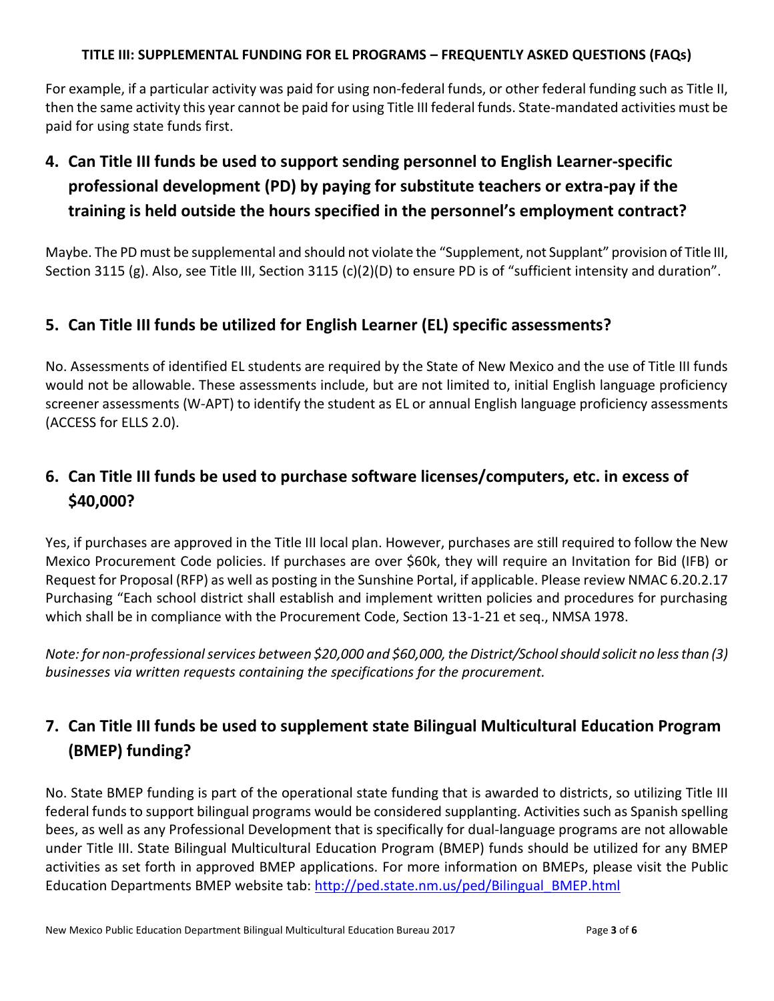#### **TITLE III: SUPPLEMENTAL FUNDING FOR EL PROGRAMS – FREQUENTLY ASKED QUESTIONS (FAQs)**

For example, if a particular activity was paid for using non-federal funds, or other federal funding such as Title II, then the same activity this year cannot be paid for using Title III federal funds. State-mandated activities must be paid for using state funds first.

# <span id="page-2-0"></span>**4. Can Title III funds be used to support sending personnel to English Learner-specific professional development (PD) by paying for substitute teachers or extra-pay if the training is held outside the hours specified in the personnel's employment contract?**

Maybe. The PD must be supplemental and should not violate the "Supplement, not Supplant" provision of Title III, Section 3115 (g). Also, see Title III, Section 3115 (c)(2)(D) to ensure PD is of "sufficient intensity and duration".

## <span id="page-2-1"></span>**5. Can Title III funds be utilized for English Learner (EL) specific assessments?**

No. Assessments of identified EL students are required by the State of New Mexico and the use of Title III funds would not be allowable. These assessments include, but are not limited to, initial English language proficiency screener assessments (W-APT) to identify the student as EL or annual English language proficiency assessments (ACCESS for ELLS 2.0).

# <span id="page-2-2"></span>**6. Can Title III funds be used to purchase software licenses/computers, etc. in excess of \$40,000?**

Yes, if purchases are approved in the Title III local plan. However, purchases are still required to follow the New Mexico Procurement Code policies. If purchases are over \$60k, they will require an Invitation for Bid (IFB) or Request for Proposal (RFP) as well as posting in the Sunshine Portal, if applicable. Please review NMAC 6.20.2.17 Purchasing "Each school district shall establish and implement written policies and procedures for purchasing which shall be in compliance with the Procurement Code, Section 13-1-21 et seq., NMSA 1978.

*Note: for non-professional services between \$20,000 and \$60,000, the District/School should solicit no less than (3) businesses via written requests containing the specifications for the procurement.* 

# <span id="page-2-3"></span>**7. Can Title III funds be used to supplement state Bilingual Multicultural Education Program (BMEP) funding?**

No. State BMEP funding is part of the operational state funding that is awarded to districts, so utilizing Title III federal funds to support bilingual programs would be considered supplanting. Activities such as Spanish spelling bees, as well as any Professional Development that is specifically for dual-language programs are not allowable under Title III. State Bilingual Multicultural Education Program (BMEP) funds should be utilized for any BMEP activities as set forth in approved BMEP applications. For more information on BMEPs, please visit the Public Education Departments BMEP website tab: [http://ped.state.nm.us/ped/Bilingual\\_BMEP.html](http://ped.state.nm.us/ped/Bilingual_BMEP.html)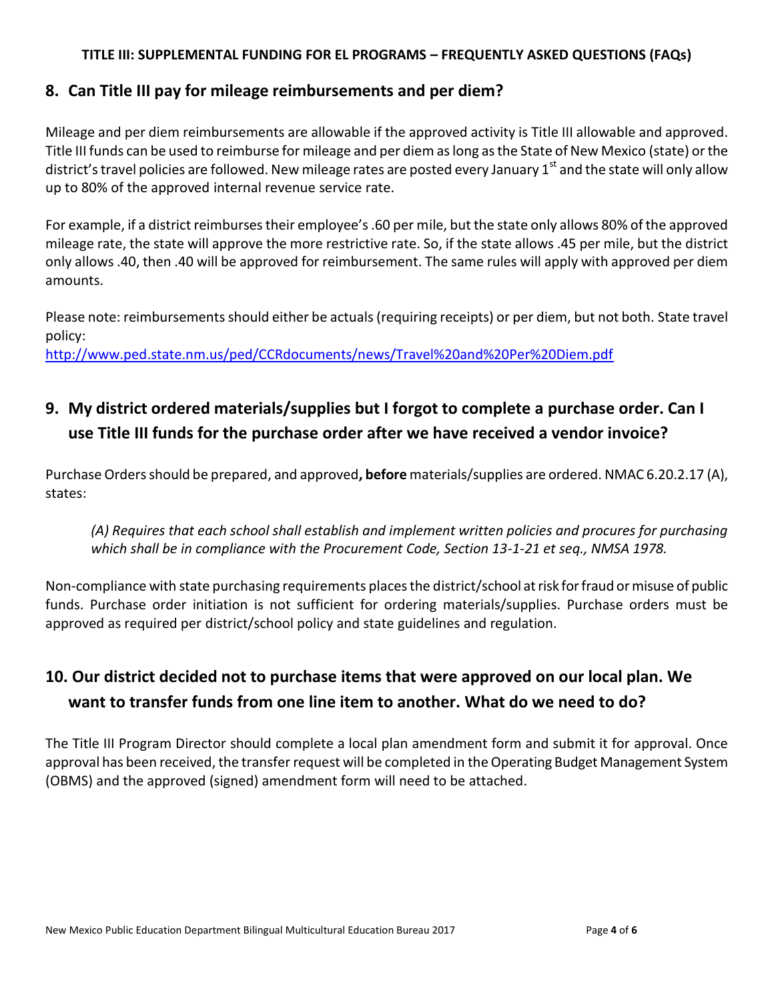#### **TITLE III: SUPPLEMENTAL FUNDING FOR EL PROGRAMS – FREQUENTLY ASKED QUESTIONS (FAQs)**

#### <span id="page-3-0"></span>**8. Can Title III pay for mileage reimbursements and per diem?**

Mileage and per diem reimbursements are allowable if the approved activity is Title III allowable and approved. Title III funds can be used to reimburse for mileage and per diem as long as the State of New Mexico (state) or the district's travel policies are followed. New mileage rates are posted every January  $1<sup>st</sup>$  and the state will only allow up to 80% of the approved internal revenue service rate.

For example, if a district reimburses their employee's .60 per mile, but the state only allows 80% of the approved mileage rate, the state will approve the more restrictive rate. So, if the state allows .45 per mile, but the district only allows .40, then .40 will be approved for reimbursement. The same rules will apply with approved per diem amounts.

Please note: reimbursements should either be actuals (requiring receipts) or per diem, but not both. State travel policy:

<http://www.ped.state.nm.us/ped/CCRdocuments/news/Travel%20and%20Per%20Diem.pdf>

## <span id="page-3-1"></span>**9. My district ordered materials/supplies but I forgot to complete a purchase order. Can I use Title III funds for the purchase order after we have received a vendor invoice?**

Purchase Orders should be prepared, and approved**, before** materials/supplies are ordered. NMAC 6.20.2.17 (A), states:

*(A) Requires that each school shall establish and implement written policies and procures for purchasing which shall be in compliance with the Procurement Code, Section 13-1-21 et seq., NMSA 1978.* 

Non-compliance with state purchasing requirements places the district/school at risk for fraud or misuse of public funds. Purchase order initiation is not sufficient for ordering materials/supplies. Purchase orders must be approved as required per district/school policy and state guidelines and regulation.

# <span id="page-3-2"></span>**10. Our district decided not to purchase items that were approved on our local plan. We want to transfer funds from one line item to another. What do we need to do?**

The Title III Program Director should complete a local plan amendment form and submit it for approval. Once approval has been received, the transfer request will be completed in the Operating Budget Management System (OBMS) and the approved (signed) amendment form will need to be attached.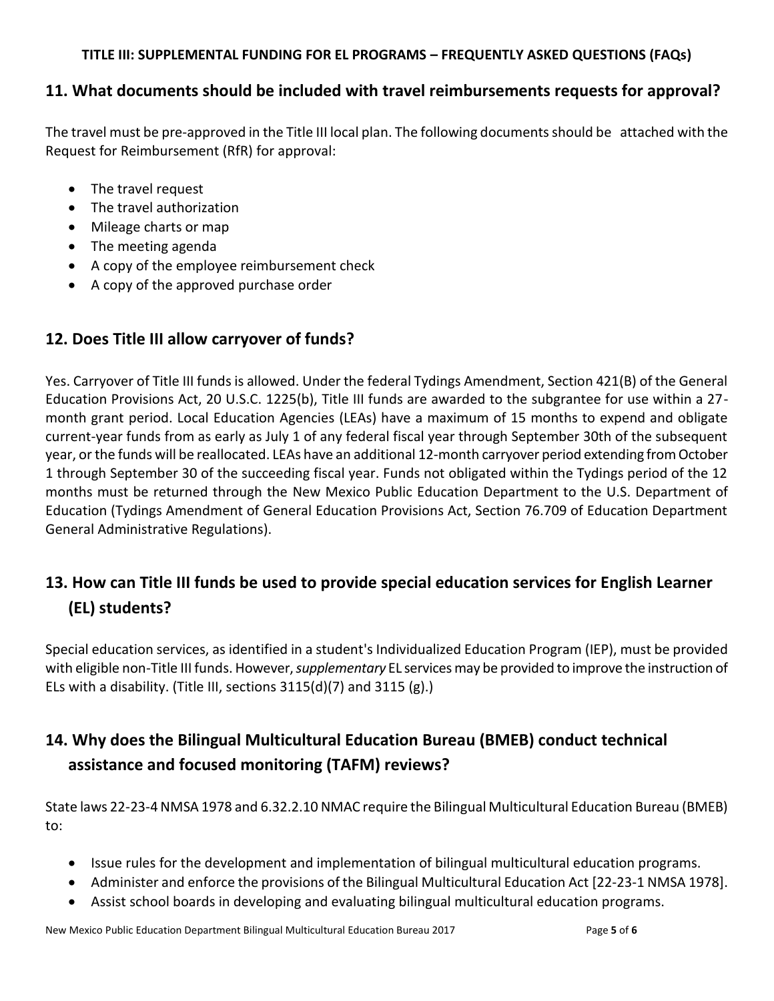#### **TITLE III: SUPPLEMENTAL FUNDING FOR EL PROGRAMS – FREQUENTLY ASKED QUESTIONS (FAQs)**

### <span id="page-4-0"></span>**11. What documents should be included with travel reimbursements requests for approval?**

The travel must be pre-approved in the Title III local plan. The following documents should be attached with the Request for Reimbursement (RfR) for approval:

- The travel request
- The travel authorization
- Mileage charts or map
- The meeting agenda
- A copy of the employee reimbursement check
- A copy of the approved purchase order

### <span id="page-4-1"></span>**12. Does Title III allow carryover of funds?**

Yes. Carryover of Title III funds is allowed. Under the federal Tydings Amendment, Section 421(B) of the General Education Provisions Act, 20 U.S.C. 1225(b), Title III funds are awarded to the subgrantee for use within a 27 month grant period. Local Education Agencies (LEAs) have a maximum of 15 months to expend and obligate current-year funds from as early as July 1 of any federal fiscal year through September 30th of the subsequent year, or the funds will be reallocated. LEAs have an additional 12-month carryover period extending from October 1 through September 30 of the succeeding fiscal year. Funds not obligated within the Tydings period of the 12 months must be returned through the New Mexico Public Education Department to the U.S. Department of Education (Tydings Amendment of General Education Provisions Act, Section 76.709 of Education Department General Administrative Regulations).

## <span id="page-4-2"></span>**13. How can Title III funds be used to provide special education services for English Learner (EL) students?**

Special education services, as identified in a student's Individualized Education Program (IEP), must be provided with eligible non-Title III funds. However, *supplementary* EL services may be provided to improve the instruction of ELs with a disability. (Title III, sections  $3115(d)(7)$  and  $3115(g)$ .)

# <span id="page-4-3"></span>**14. Why does the Bilingual Multicultural Education Bureau (BMEB) conduct technical assistance and focused monitoring (TAFM) reviews?**

State laws 22-23-4 NMSA 1978 and 6.32.2.10 NMAC require the Bilingual Multicultural Education Bureau (BMEB) to:

- Issue rules for the development and implementation of bilingual multicultural education programs.
- Administer and enforce the provisions of the Bilingual Multicultural Education Act [22-23-1 NMSA 1978].
- Assist school boards in developing and evaluating bilingual multicultural education programs.